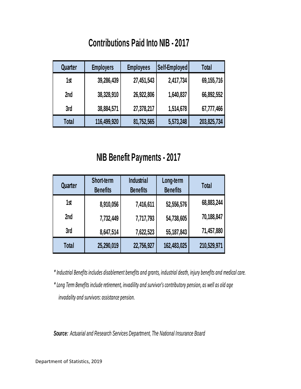## **Contributions Paid Into NIB - 2017**

| Quarter | <b>Employers</b> | <b>Employees</b> | Self-Employed | Total        |
|---------|------------------|------------------|---------------|--------------|
| 1st     | 39,286,439       | 27,451,543       | 2,417,734     | 69, 155, 716 |
| 2nd     | 38,328,910       | 26,922,806       | 1,640,837     | 66,892,552   |
| 3rd     | 38,884,571       | 27,378,217       | 1,514,678     | 67,777,466   |
| Total   | 116,499,920      | 81,752,565       | 5,573,248     | 203,825,734  |

## **NIB Benefit Payments - 2017**

| Quarter      | Short-term<br><b>Benefits</b> | <b>Industrial</b><br><b>Benefits</b> | Long-term<br><b>Benefits</b> | Total       |
|--------------|-------------------------------|--------------------------------------|------------------------------|-------------|
| 1st          | 8,910,056                     | 7,416,611                            | 52,556,576                   | 68,883,244  |
| 2nd          | 7,732,449                     | 7,717,793                            | 54,738,605                   | 70,188,847  |
| 3rd          | 8,647,514                     | 7,622,523                            | 55, 187, 843                 | 71,457,880  |
| <b>Total</b> | 25,290,019                    | 22,756,927                           | 162,483,025                  | 210,529,971 |

*\* Industrial Benefits includes disablement benefits and grants, industrial death, injury benefits and medical care.*

*\* Long Term Benefits include retirement, invadility and survivor's contributory pension, as well as old age invadality and survivors: assistance pension.*

*Source: Actuarial and Research Services Department, The National Insurance Board*